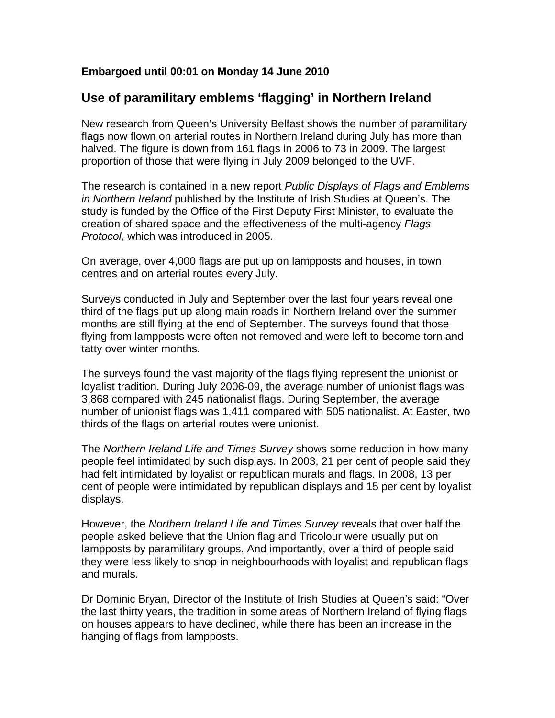## **Embargoed until 00:01 on Monday 14 June 2010**

## **Use of paramilitary emblems 'flagging' in Northern Ireland**

New research from Queen's University Belfast shows the number of paramilitary flags now flown on arterial routes in Northern Ireland during July has more than halved. The figure is down from 161 flags in 2006 to 73 in 2009. The largest proportion of those that were flying in July 2009 belonged to the UVF.

The research is contained in a new report *Public Displays of Flags and Emblems in Northern Ireland* published by the Institute of Irish Studies at Queen's. The study is funded by the Office of the First Deputy First Minister, to evaluate the creation of shared space and the effectiveness of the multi-agency *Flags Protocol*, which was introduced in 2005.

On average, over 4,000 flags are put up on lampposts and houses, in town centres and on arterial routes every July.

Surveys conducted in July and September over the last four years reveal one third of the flags put up along main roads in Northern Ireland over the summer months are still flying at the end of September. The surveys found that those flying from lampposts were often not removed and were left to become torn and tatty over winter months.

The surveys found the vast majority of the flags flying represent the unionist or loyalist tradition. During July 2006-09, the average number of unionist flags was 3,868 compared with 245 nationalist flags. During September, the average number of unionist flags was 1,411 compared with 505 nationalist. At Easter, two thirds of the flags on arterial routes were unionist.

The *Northern Ireland Life and Times Survey* shows some reduction in how many people feel intimidated by such displays. In 2003, 21 per cent of people said they had felt intimidated by loyalist or republican murals and flags. In 2008, 13 per cent of people were intimidated by republican displays and 15 per cent by loyalist displays.

However, the *Northern Ireland Life and Times Survey* reveals that over half the people asked believe that the Union flag and Tricolour were usually put on lampposts by paramilitary groups. And importantly, over a third of people said they were less likely to shop in neighbourhoods with loyalist and republican flags and murals.

Dr Dominic Bryan, Director of the Institute of Irish Studies at Queen's said: "Over the last thirty years, the tradition in some areas of Northern Ireland of flying flags on houses appears to have declined, while there has been an increase in the hanging of flags from lampposts.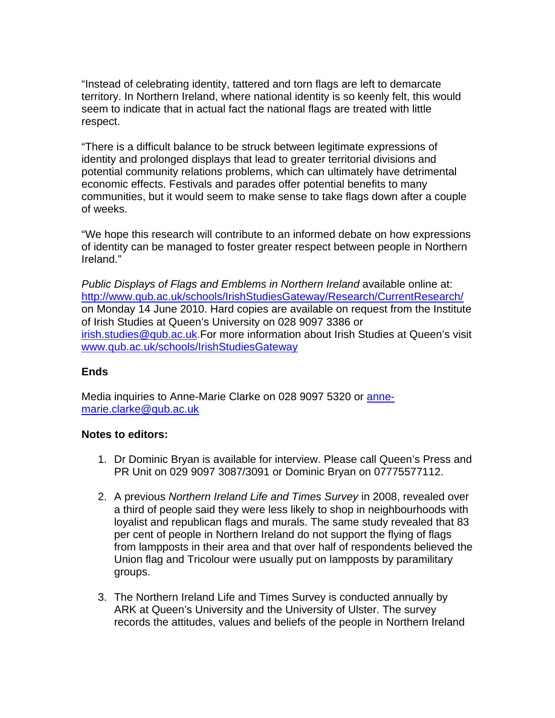"Instead of celebrating identity, tattered and torn flags are left to demarcate territory. In Northern Ireland, where national identity is so keenly felt, this would seem to indicate that in actual fact the national flags are treated with little respect.

"There is a difficult balance to be struck between legitimate expressions of identity and prolonged displays that lead to greater territorial divisions and potential community relations problems, which can ultimately have detrimental economic effects. Festivals and parades offer potential benefits to many communities, but it would seem to make sense to take flags down after a couple of weeks.

"We hope this research will contribute to an informed debate on how expressions of identity can be managed to foster greater respect between people in Northern Ireland."

*Public Displays of Flags and Emblems in Northern Ireland* available online at: <http://www.qub.ac.uk/schools/IrishStudiesGateway/Research/CurrentResearch/> on Monday 14 June 2010. Hard copies are available on request from the Institute of Irish Studies at Queen's University on 028 9097 3386 or [irish.studies@qub.ac.uk.](mailto:irish.studies@qub.ac.uk)For more information about Irish Studies at Queen's visit [www.qub.ac.uk/schools/IrishStudiesGateway](http://www.qub.ac.uk/schools/IrishStudiesGateway) 

## **Ends**

Media inquiries to Anne-Marie Clarke on 028 9097 5320 or [anne](mailto:anne-marie.clarke@qub.ac.uk)[marie.clarke@qub.ac.uk](mailto:anne-marie.clarke@qub.ac.uk) 

## **Notes to editors:**

- 1. Dr Dominic Bryan is available for interview. Please call Queen's Press and PR Unit on 029 9097 3087/3091 or Dominic Bryan on 07775577112.
- 2. A previous *Northern Ireland Life and Times Survey* in 2008, revealed over a third of people said they were less likely to shop in neighbourhoods with loyalist and republican flags and murals. The same study revealed that 83 per cent of people in Northern Ireland do not support the flying of flags from lampposts in their area and that over half of respondents believed the Union flag and Tricolour were usually put on lampposts by paramilitary groups.
- 3. The Northern Ireland Life and Times Survey is conducted annually by ARK at Queen's University and the University of Ulster. The survey records the attitudes, values and beliefs of the people in Northern Ireland